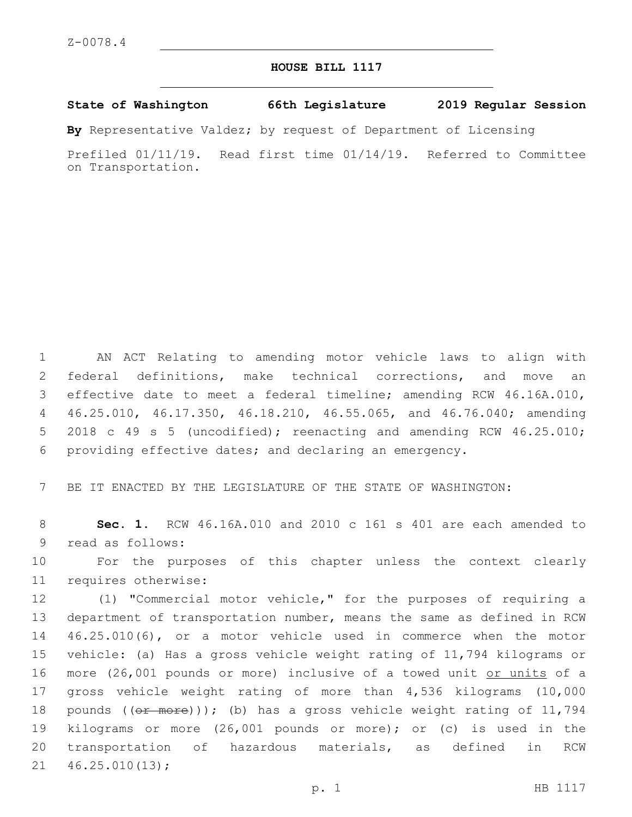## **HOUSE BILL 1117**

## **State of Washington 66th Legislature 2019 Regular Session**

**By** Representative Valdez; by request of Department of Licensing

Prefiled 01/11/19. Read first time 01/14/19. Referred to Committee on Transportation.

 AN ACT Relating to amending motor vehicle laws to align with federal definitions, make technical corrections, and move an effective date to meet a federal timeline; amending RCW 46.16A.010, 46.25.010, 46.17.350, 46.18.210, 46.55.065, and 46.76.040; amending 2018 c 49 s 5 (uncodified); reenacting and amending RCW 46.25.010; providing effective dates; and declaring an emergency.

7 BE IT ENACTED BY THE LEGISLATURE OF THE STATE OF WASHINGTON:

8 **Sec. 1.** RCW 46.16A.010 and 2010 c 161 s 401 are each amended to 9 read as follows:

10 For the purposes of this chapter unless the context clearly 11 requires otherwise:

 (1) "Commercial motor vehicle," for the purposes of requiring a department of transportation number, means the same as defined in RCW 46.25.010(6), or a motor vehicle used in commerce when the motor vehicle: (a) Has a gross vehicle weight rating of 11,794 kilograms or 16 more (26,001 pounds or more) inclusive of a towed unit or units of a gross vehicle weight rating of more than 4,536 kilograms (10,000 18 pounds  $((\theta \text{f} \text{more})))$ ; (b) has a gross vehicle weight rating of 11,794 kilograms or more (26,001 pounds or more); or (c) is used in the transportation of hazardous materials, as defined in RCW  $21 46.25.010(13);$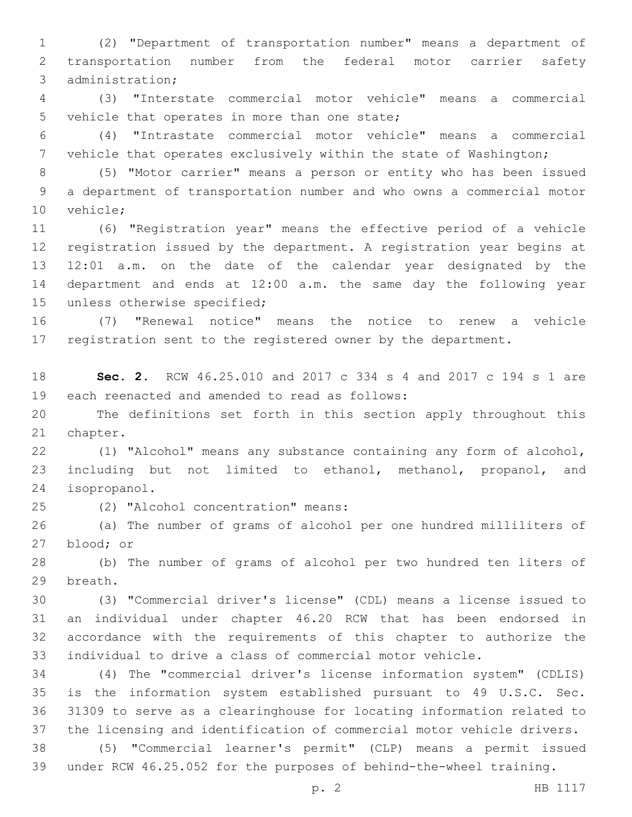(2) "Department of transportation number" means a department of transportation number from the federal motor carrier safety 3 administration;

 (3) "Interstate commercial motor vehicle" means a commercial 5 vehicle that operates in more than one state;

 (4) "Intrastate commercial motor vehicle" means a commercial vehicle that operates exclusively within the state of Washington;

 (5) "Motor carrier" means a person or entity who has been issued a department of transportation number and who owns a commercial motor 10 vehicle;

 (6) "Registration year" means the effective period of a vehicle registration issued by the department. A registration year begins at 12:01 a.m. on the date of the calendar year designated by the department and ends at 12:00 a.m. the same day the following year 15 unless otherwise specified;

 (7) "Renewal notice" means the notice to renew a vehicle 17 registration sent to the registered owner by the department.

 **Sec. 2.** RCW 46.25.010 and 2017 c 334 s 4 and 2017 c 194 s 1 are 19 each reenacted and amended to read as follows:

 The definitions set forth in this section apply throughout this 21 chapter.

 (1) "Alcohol" means any substance containing any form of alcohol, including but not limited to ethanol, methanol, propanol, and 24 isopropanol.

(2) "Alcohol concentration" means:25

 (a) The number of grams of alcohol per one hundred milliliters of 27 blood; or

 (b) The number of grams of alcohol per two hundred ten liters of 29 breath.

 (3) "Commercial driver's license" (CDL) means a license issued to an individual under chapter 46.20 RCW that has been endorsed in accordance with the requirements of this chapter to authorize the individual to drive a class of commercial motor vehicle.

 (4) The "commercial driver's license information system" (CDLIS) is the information system established pursuant to 49 U.S.C. Sec. 31309 to serve as a clearinghouse for locating information related to the licensing and identification of commercial motor vehicle drivers.

 (5) "Commercial learner's permit" (CLP) means a permit issued under RCW 46.25.052 for the purposes of behind-the-wheel training.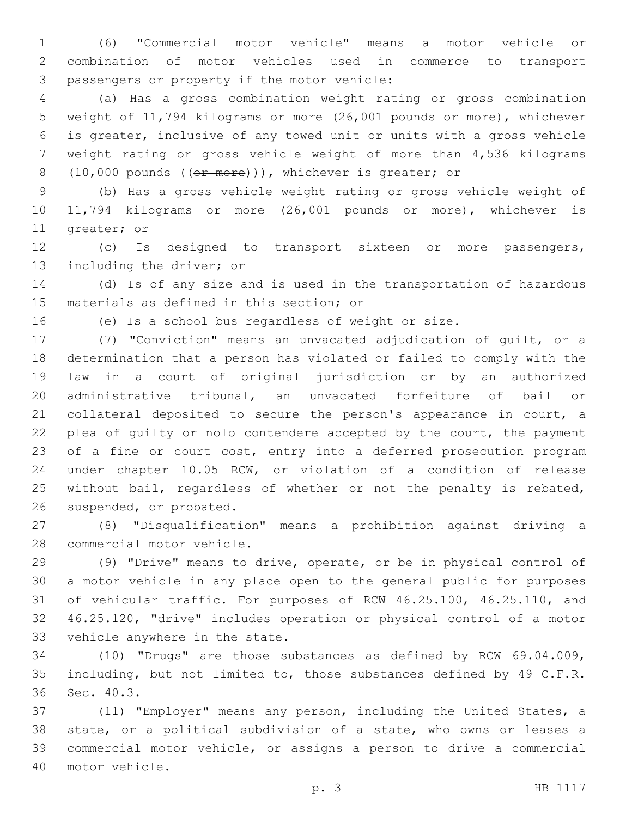(6) "Commercial motor vehicle" means a motor vehicle or combination of motor vehicles used in commerce to transport 3 passengers or property if the motor vehicle:

 (a) Has a gross combination weight rating or gross combination weight of 11,794 kilograms or more (26,001 pounds or more), whichever is greater, inclusive of any towed unit or units with a gross vehicle weight rating or gross vehicle weight of more than 4,536 kilograms 8 (10,000 pounds ((or more))), whichever is greater; or

 (b) Has a gross vehicle weight rating or gross vehicle weight of 11,794 kilograms or more (26,001 pounds or more), whichever is 11 greater; or

 (c) Is designed to transport sixteen or more passengers, 13 including the driver; or

 (d) Is of any size and is used in the transportation of hazardous 15 materials as defined in this section; or

(e) Is a school bus regardless of weight or size.

 (7) "Conviction" means an unvacated adjudication of guilt, or a determination that a person has violated or failed to comply with the law in a court of original jurisdiction or by an authorized administrative tribunal, an unvacated forfeiture of bail or collateral deposited to secure the person's appearance in court, a 22 plea of quilty or nolo contendere accepted by the court, the payment 23 of a fine or court cost, entry into a deferred prosecution program under chapter 10.05 RCW, or violation of a condition of release 25 without bail, regardless of whether or not the penalty is rebated, 26 suspended, or probated.

 (8) "Disqualification" means a prohibition against driving a 28 commercial motor vehicle.

 (9) "Drive" means to drive, operate, or be in physical control of a motor vehicle in any place open to the general public for purposes of vehicular traffic. For purposes of RCW 46.25.100, 46.25.110, and 46.25.120, "drive" includes operation or physical control of a motor 33 vehicle anywhere in the state.

 (10) "Drugs" are those substances as defined by RCW 69.04.009, 35 including, but not limited to, those substances defined by 49 C.F.R. 36 Sec. 40.3.

 (11) "Employer" means any person, including the United States, a state, or a political subdivision of a state, who owns or leases a commercial motor vehicle, or assigns a person to drive a commercial 40 motor vehicle.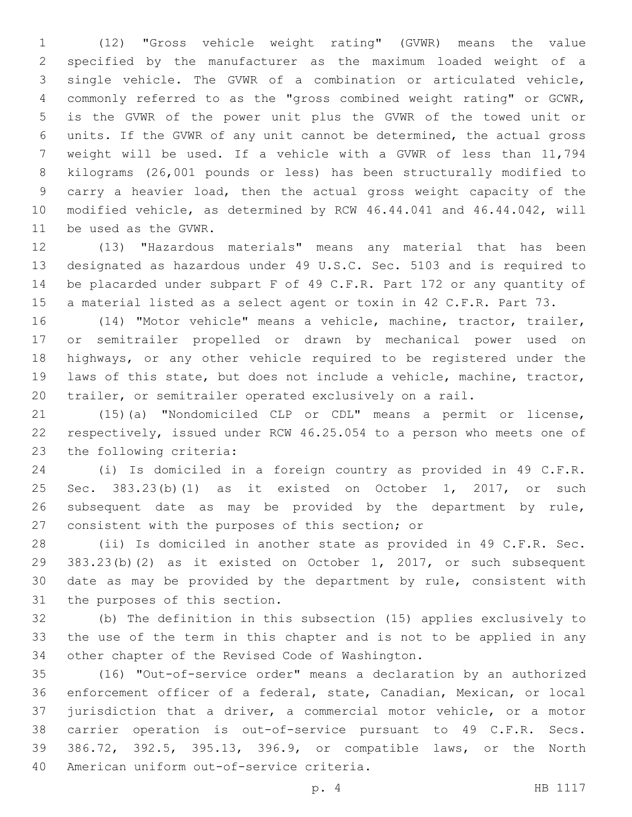(12) "Gross vehicle weight rating" (GVWR) means the value specified by the manufacturer as the maximum loaded weight of a single vehicle. The GVWR of a combination or articulated vehicle, commonly referred to as the "gross combined weight rating" or GCWR, is the GVWR of the power unit plus the GVWR of the towed unit or units. If the GVWR of any unit cannot be determined, the actual gross weight will be used. If a vehicle with a GVWR of less than 11,794 kilograms (26,001 pounds or less) has been structurally modified to carry a heavier load, then the actual gross weight capacity of the modified vehicle, as determined by RCW 46.44.041 and 46.44.042, will 11 be used as the GVWR.

 (13) "Hazardous materials" means any material that has been designated as hazardous under 49 U.S.C. Sec. 5103 and is required to be placarded under subpart F of 49 C.F.R. Part 172 or any quantity of a material listed as a select agent or toxin in 42 C.F.R. Part 73.

 (14) "Motor vehicle" means a vehicle, machine, tractor, trailer, or semitrailer propelled or drawn by mechanical power used on highways, or any other vehicle required to be registered under the laws of this state, but does not include a vehicle, machine, tractor, trailer, or semitrailer operated exclusively on a rail.

 (15)(a) "Nondomiciled CLP or CDL" means a permit or license, respectively, issued under RCW 46.25.054 to a person who meets one of 23 the following criteria:

 (i) Is domiciled in a foreign country as provided in 49 C.F.R. Sec. 383.23(b)(1) as it existed on October 1, 2017, or such subsequent date as may be provided by the department by rule, 27 consistent with the purposes of this section; or

 (ii) Is domiciled in another state as provided in 49 C.F.R. Sec. 383.23(b)(2) as it existed on October 1, 2017, or such subsequent date as may be provided by the department by rule, consistent with 31 the purposes of this section.

 (b) The definition in this subsection (15) applies exclusively to the use of the term in this chapter and is not to be applied in any 34 other chapter of the Revised Code of Washington.

 (16) "Out-of-service order" means a declaration by an authorized enforcement officer of a federal, state, Canadian, Mexican, or local jurisdiction that a driver, a commercial motor vehicle, or a motor carrier operation is out-of-service pursuant to 49 C.F.R. Secs. 386.72, 392.5, 395.13, 396.9, or compatible laws, or the North 40 American uniform out-of-service criteria.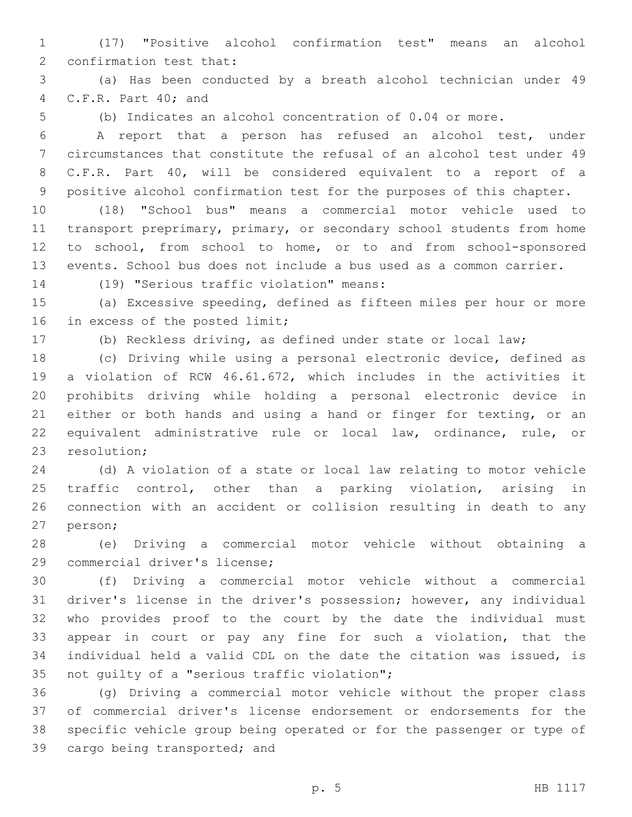(17) "Positive alcohol confirmation test" means an alcohol 2 confirmation test that:

 (a) Has been conducted by a breath alcohol technician under 49 4 C.F.R. Part 40; and

(b) Indicates an alcohol concentration of 0.04 or more.

 A report that a person has refused an alcohol test, under circumstances that constitute the refusal of an alcohol test under 49 C.F.R. Part 40, will be considered equivalent to a report of a positive alcohol confirmation test for the purposes of this chapter.

 (18) "School bus" means a commercial motor vehicle used to 11 transport preprimary, primary, or secondary school students from home to school, from school to home, or to and from school-sponsored events. School bus does not include a bus used as a common carrier.

(19) "Serious traffic violation" means:14

 (a) Excessive speeding, defined as fifteen miles per hour or more 16 in excess of the posted limit;

(b) Reckless driving, as defined under state or local law;

 (c) Driving while using a personal electronic device, defined as a violation of RCW 46.61.672, which includes in the activities it prohibits driving while holding a personal electronic device in 21 either or both hands and using a hand or finger for texting, or an equivalent administrative rule or local law, ordinance, rule, or 23 resolution;

 (d) A violation of a state or local law relating to motor vehicle traffic control, other than a parking violation, arising in connection with an accident or collision resulting in death to any 27 person;

 (e) Driving a commercial motor vehicle without obtaining a 29 commercial driver's license;

 (f) Driving a commercial motor vehicle without a commercial driver's license in the driver's possession; however, any individual who provides proof to the court by the date the individual must appear in court or pay any fine for such a violation, that the individual held a valid CDL on the date the citation was issued, is 35 not guilty of a "serious traffic violation";

 (g) Driving a commercial motor vehicle without the proper class of commercial driver's license endorsement or endorsements for the specific vehicle group being operated or for the passenger or type of 39 cargo being transported; and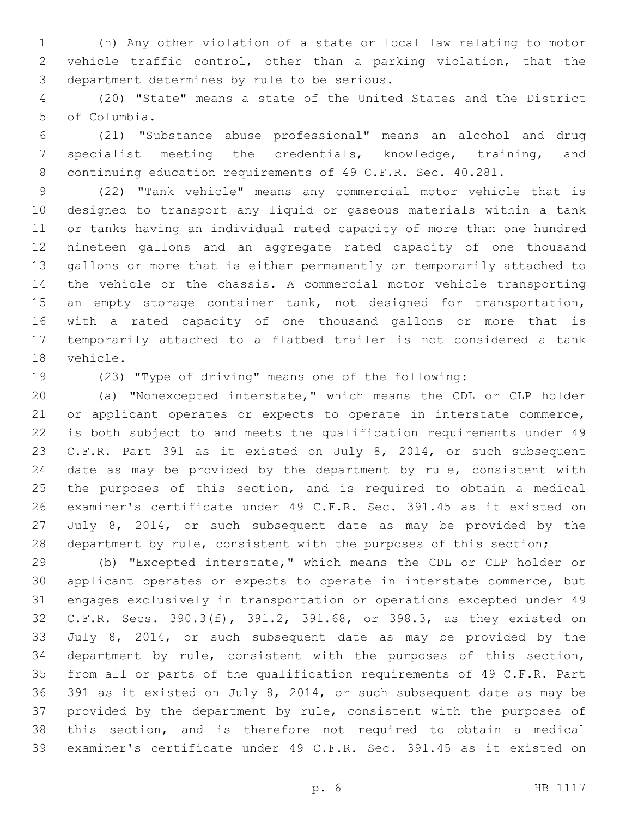(h) Any other violation of a state or local law relating to motor vehicle traffic control, other than a parking violation, that the 3 department determines by rule to be serious.

 (20) "State" means a state of the United States and the District 5 of Columbia.

 (21) "Substance abuse professional" means an alcohol and drug specialist meeting the credentials, knowledge, training, and 8 continuing education requirements of 49 C.F.R. Sec. 40.281.

 (22) "Tank vehicle" means any commercial motor vehicle that is designed to transport any liquid or gaseous materials within a tank or tanks having an individual rated capacity of more than one hundred nineteen gallons and an aggregate rated capacity of one thousand gallons or more that is either permanently or temporarily attached to the vehicle or the chassis. A commercial motor vehicle transporting 15 an empty storage container tank, not designed for transportation, with a rated capacity of one thousand gallons or more that is temporarily attached to a flatbed trailer is not considered a tank 18 vehicle.

(23) "Type of driving" means one of the following:

 (a) "Nonexcepted interstate," which means the CDL or CLP holder or applicant operates or expects to operate in interstate commerce, is both subject to and meets the qualification requirements under 49 C.F.R. Part 391 as it existed on July 8, 2014, or such subsequent 24 date as may be provided by the department by rule, consistent with the purposes of this section, and is required to obtain a medical examiner's certificate under 49 C.F.R. Sec. 391.45 as it existed on July 8, 2014, or such subsequent date as may be provided by the 28 department by rule, consistent with the purposes of this section;

 (b) "Excepted interstate," which means the CDL or CLP holder or applicant operates or expects to operate in interstate commerce, but engages exclusively in transportation or operations excepted under 49 C.F.R. Secs. 390.3(f), 391.2, 391.68, or 398.3, as they existed on July 8, 2014, or such subsequent date as may be provided by the department by rule, consistent with the purposes of this section, from all or parts of the qualification requirements of 49 C.F.R. Part 391 as it existed on July 8, 2014, or such subsequent date as may be provided by the department by rule, consistent with the purposes of this section, and is therefore not required to obtain a medical examiner's certificate under 49 C.F.R. Sec. 391.45 as it existed on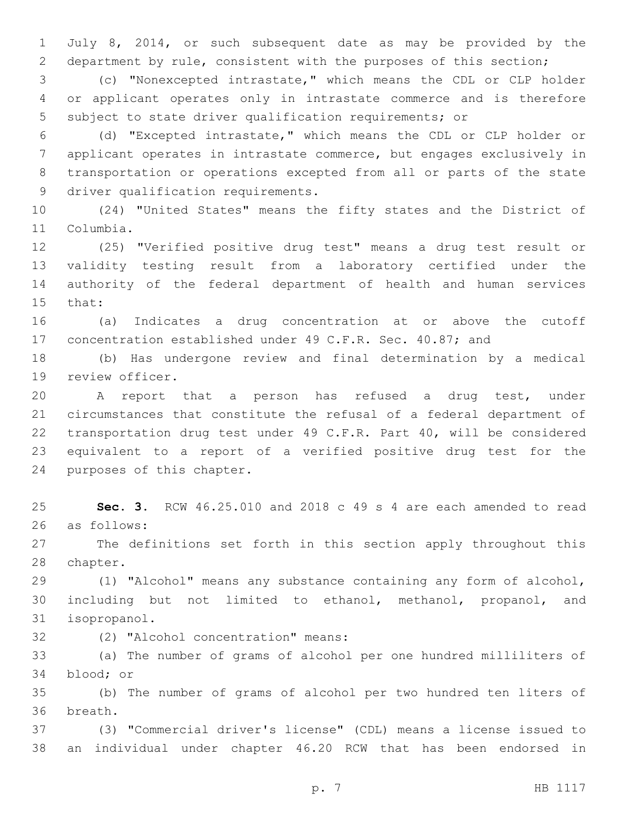July 8, 2014, or such subsequent date as may be provided by the department by rule, consistent with the purposes of this section;

 (c) "Nonexcepted intrastate," which means the CDL or CLP holder or applicant operates only in intrastate commerce and is therefore subject to state driver qualification requirements; or

 (d) "Excepted intrastate," which means the CDL or CLP holder or applicant operates in intrastate commerce, but engages exclusively in transportation or operations excepted from all or parts of the state 9 driver qualification requirements.

 (24) "United States" means the fifty states and the District of 11 Columbia.

 (25) "Verified positive drug test" means a drug test result or validity testing result from a laboratory certified under the authority of the federal department of health and human services 15 that:

 (a) Indicates a drug concentration at or above the cutoff concentration established under 49 C.F.R. Sec. 40.87; and

 (b) Has undergone review and final determination by a medical 19 review officer.

 A report that a person has refused a drug test, under circumstances that constitute the refusal of a federal department of transportation drug test under 49 C.F.R. Part 40, will be considered equivalent to a report of a verified positive drug test for the 24 purposes of this chapter.

 **Sec. 3.** RCW 46.25.010 and 2018 c 49 s 4 are each amended to read 26 as follows:

 The definitions set forth in this section apply throughout this 28 chapter.

 (1) "Alcohol" means any substance containing any form of alcohol, including but not limited to ethanol, methanol, propanol, and 31 isopropanol.

(2) "Alcohol concentration" means:32

 (a) The number of grams of alcohol per one hundred milliliters of 34 blood; or

 (b) The number of grams of alcohol per two hundred ten liters of 36 breath.

 (3) "Commercial driver's license" (CDL) means a license issued to an individual under chapter 46.20 RCW that has been endorsed in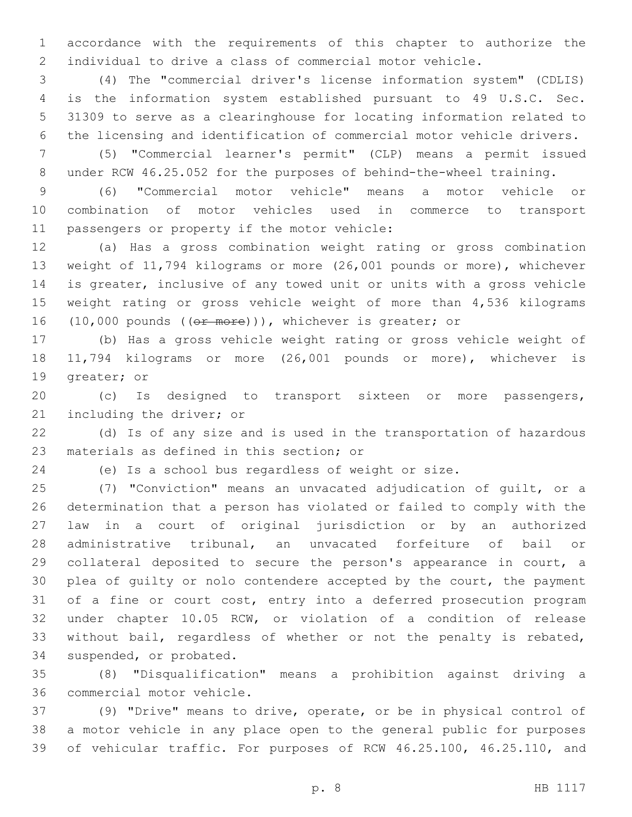accordance with the requirements of this chapter to authorize the individual to drive a class of commercial motor vehicle.

 (4) The "commercial driver's license information system" (CDLIS) is the information system established pursuant to 49 U.S.C. Sec. 31309 to serve as a clearinghouse for locating information related to the licensing and identification of commercial motor vehicle drivers.

 (5) "Commercial learner's permit" (CLP) means a permit issued under RCW 46.25.052 for the purposes of behind-the-wheel training.

 (6) "Commercial motor vehicle" means a motor vehicle or combination of motor vehicles used in commerce to transport 11 passengers or property if the motor vehicle:

 (a) Has a gross combination weight rating or gross combination weight of 11,794 kilograms or more (26,001 pounds or more), whichever is greater, inclusive of any towed unit or units with a gross vehicle weight rating or gross vehicle weight of more than 4,536 kilograms 16 (10,000 pounds ((or more))), whichever is greater; or

 (b) Has a gross vehicle weight rating or gross vehicle weight of 11,794 kilograms or more (26,001 pounds or more), whichever is 19 greater; or

 (c) Is designed to transport sixteen or more passengers, 21 including the driver; or

 (d) Is of any size and is used in the transportation of hazardous 23 materials as defined in this section; or

(e) Is a school bus regardless of weight or size.

 (7) "Conviction" means an unvacated adjudication of guilt, or a determination that a person has violated or failed to comply with the law in a court of original jurisdiction or by an authorized administrative tribunal, an unvacated forfeiture of bail or collateral deposited to secure the person's appearance in court, a plea of guilty or nolo contendere accepted by the court, the payment of a fine or court cost, entry into a deferred prosecution program under chapter 10.05 RCW, or violation of a condition of release without bail, regardless of whether or not the penalty is rebated, 34 suspended, or probated.

 (8) "Disqualification" means a prohibition against driving a 36 commercial motor vehicle.

 (9) "Drive" means to drive, operate, or be in physical control of a motor vehicle in any place open to the general public for purposes of vehicular traffic. For purposes of RCW 46.25.100, 46.25.110, and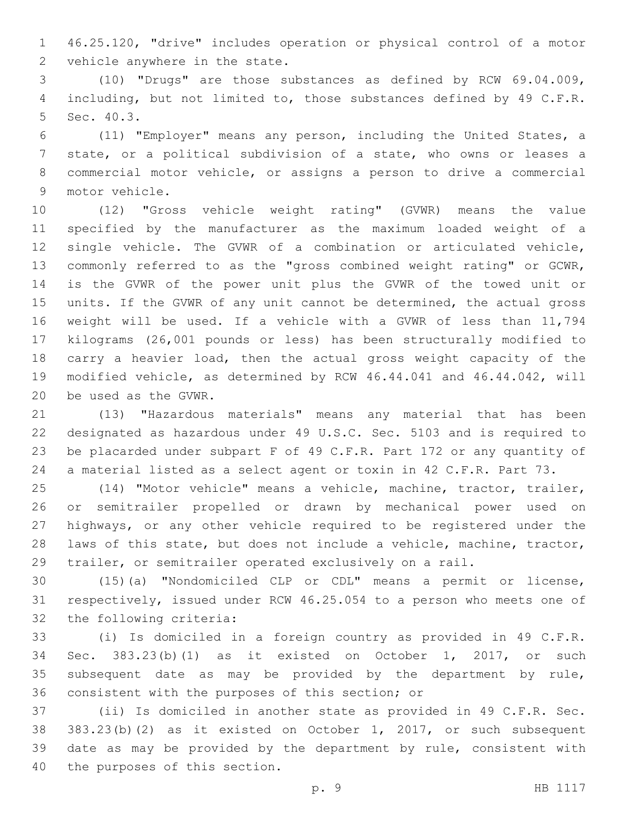46.25.120, "drive" includes operation or physical control of a motor 2 vehicle anywhere in the state.

 (10) "Drugs" are those substances as defined by RCW 69.04.009, 4 including, but not limited to, those substances defined by 49 C.F.R. 5 Sec. 40.3.

 (11) "Employer" means any person, including the United States, a state, or a political subdivision of a state, who owns or leases a commercial motor vehicle, or assigns a person to drive a commercial 9 motor vehicle.

 (12) "Gross vehicle weight rating" (GVWR) means the value specified by the manufacturer as the maximum loaded weight of a single vehicle. The GVWR of a combination or articulated vehicle, commonly referred to as the "gross combined weight rating" or GCWR, is the GVWR of the power unit plus the GVWR of the towed unit or units. If the GVWR of any unit cannot be determined, the actual gross weight will be used. If a vehicle with a GVWR of less than 11,794 kilograms (26,001 pounds or less) has been structurally modified to carry a heavier load, then the actual gross weight capacity of the modified vehicle, as determined by RCW 46.44.041 and 46.44.042, will 20 be used as the GVWR.

 (13) "Hazardous materials" means any material that has been designated as hazardous under 49 U.S.C. Sec. 5103 and is required to be placarded under subpart F of 49 C.F.R. Part 172 or any quantity of a material listed as a select agent or toxin in 42 C.F.R. Part 73.

 (14) "Motor vehicle" means a vehicle, machine, tractor, trailer, or semitrailer propelled or drawn by mechanical power used on highways, or any other vehicle required to be registered under the laws of this state, but does not include a vehicle, machine, tractor, trailer, or semitrailer operated exclusively on a rail.

 (15)(a) "Nondomiciled CLP or CDL" means a permit or license, respectively, issued under RCW 46.25.054 to a person who meets one of 32 the following criteria:

 (i) Is domiciled in a foreign country as provided in 49 C.F.R. Sec. 383.23(b)(1) as it existed on October 1, 2017, or such subsequent date as may be provided by the department by rule, 36 consistent with the purposes of this section; or

 (ii) Is domiciled in another state as provided in 49 C.F.R. Sec. 383.23(b)(2) as it existed on October 1, 2017, or such subsequent date as may be provided by the department by rule, consistent with 40 the purposes of this section.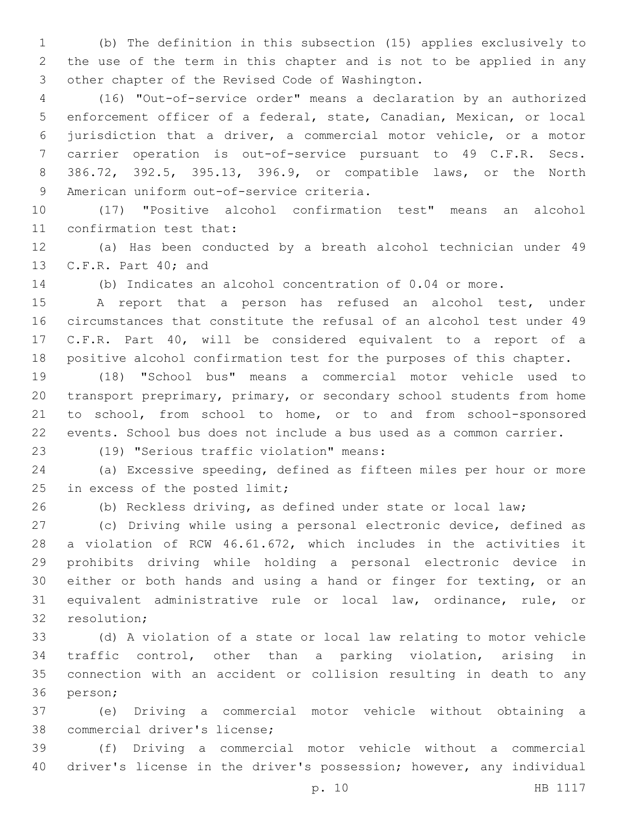(b) The definition in this subsection (15) applies exclusively to the use of the term in this chapter and is not to be applied in any 3 other chapter of the Revised Code of Washington.

 (16) "Out-of-service order" means a declaration by an authorized enforcement officer of a federal, state, Canadian, Mexican, or local jurisdiction that a driver, a commercial motor vehicle, or a motor carrier operation is out-of-service pursuant to 49 C.F.R. Secs. 386.72, 392.5, 395.13, 396.9, or compatible laws, or the North 9 American uniform out-of-service criteria.

 (17) "Positive alcohol confirmation test" means an alcohol 11 confirmation test that:

 (a) Has been conducted by a breath alcohol technician under 49 13 C.F.R. Part 40; and

(b) Indicates an alcohol concentration of 0.04 or more.

 A report that a person has refused an alcohol test, under circumstances that constitute the refusal of an alcohol test under 49 C.F.R. Part 40, will be considered equivalent to a report of a positive alcohol confirmation test for the purposes of this chapter.

 (18) "School bus" means a commercial motor vehicle used to transport preprimary, primary, or secondary school students from home to school, from school to home, or to and from school-sponsored events. School bus does not include a bus used as a common carrier.

(19) "Serious traffic violation" means:23

 (a) Excessive speeding, defined as fifteen miles per hour or more 25 in excess of the posted limit;

(b) Reckless driving, as defined under state or local law;

 (c) Driving while using a personal electronic device, defined as a violation of RCW 46.61.672, which includes in the activities it prohibits driving while holding a personal electronic device in either or both hands and using a hand or finger for texting, or an equivalent administrative rule or local law, ordinance, rule, or 32 resolution:

 (d) A violation of a state or local law relating to motor vehicle traffic control, other than a parking violation, arising in connection with an accident or collision resulting in death to any 36 person;

 (e) Driving a commercial motor vehicle without obtaining a 38 commercial driver's license;

 (f) Driving a commercial motor vehicle without a commercial driver's license in the driver's possession; however, any individual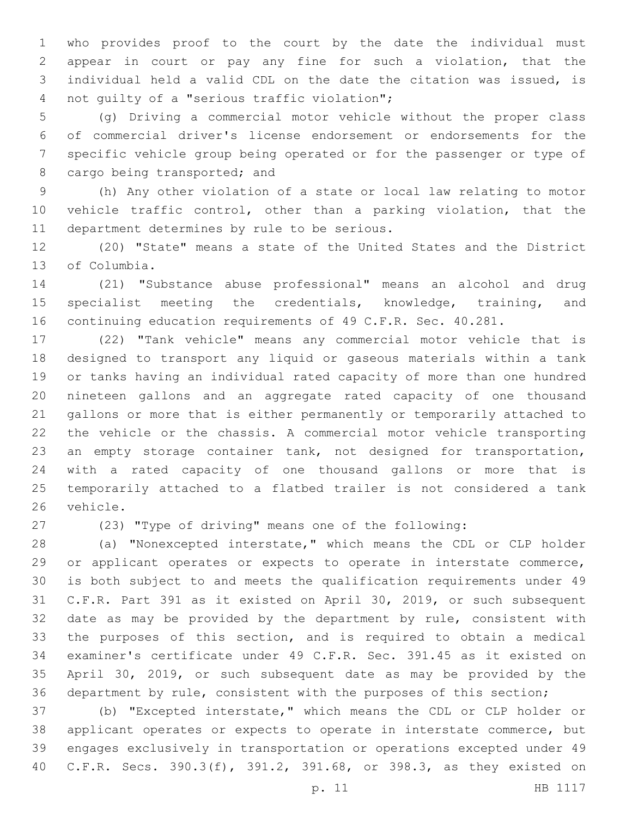who provides proof to the court by the date the individual must appear in court or pay any fine for such a violation, that the individual held a valid CDL on the date the citation was issued, is 4 not quilty of a "serious traffic violation";

 (g) Driving a commercial motor vehicle without the proper class of commercial driver's license endorsement or endorsements for the specific vehicle group being operated or for the passenger or type of 8 cargo being transported; and

 (h) Any other violation of a state or local law relating to motor vehicle traffic control, other than a parking violation, that the 11 department determines by rule to be serious.

 (20) "State" means a state of the United States and the District 13 of Columbia.

 (21) "Substance abuse professional" means an alcohol and drug 15 specialist meeting the credentials, knowledge, training, and continuing education requirements of 49 C.F.R. Sec. 40.281.

 (22) "Tank vehicle" means any commercial motor vehicle that is designed to transport any liquid or gaseous materials within a tank or tanks having an individual rated capacity of more than one hundred nineteen gallons and an aggregate rated capacity of one thousand gallons or more that is either permanently or temporarily attached to the vehicle or the chassis. A commercial motor vehicle transporting an empty storage container tank, not designed for transportation, with a rated capacity of one thousand gallons or more that is temporarily attached to a flatbed trailer is not considered a tank 26 vehicle.

(23) "Type of driving" means one of the following:

 (a) "Nonexcepted interstate," which means the CDL or CLP holder or applicant operates or expects to operate in interstate commerce, is both subject to and meets the qualification requirements under 49 C.F.R. Part 391 as it existed on April 30, 2019, or such subsequent date as may be provided by the department by rule, consistent with the purposes of this section, and is required to obtain a medical examiner's certificate under 49 C.F.R. Sec. 391.45 as it existed on April 30, 2019, or such subsequent date as may be provided by the department by rule, consistent with the purposes of this section;

 (b) "Excepted interstate," which means the CDL or CLP holder or applicant operates or expects to operate in interstate commerce, but engages exclusively in transportation or operations excepted under 49 C.F.R. Secs. 390.3(f), 391.2, 391.68, or 398.3, as they existed on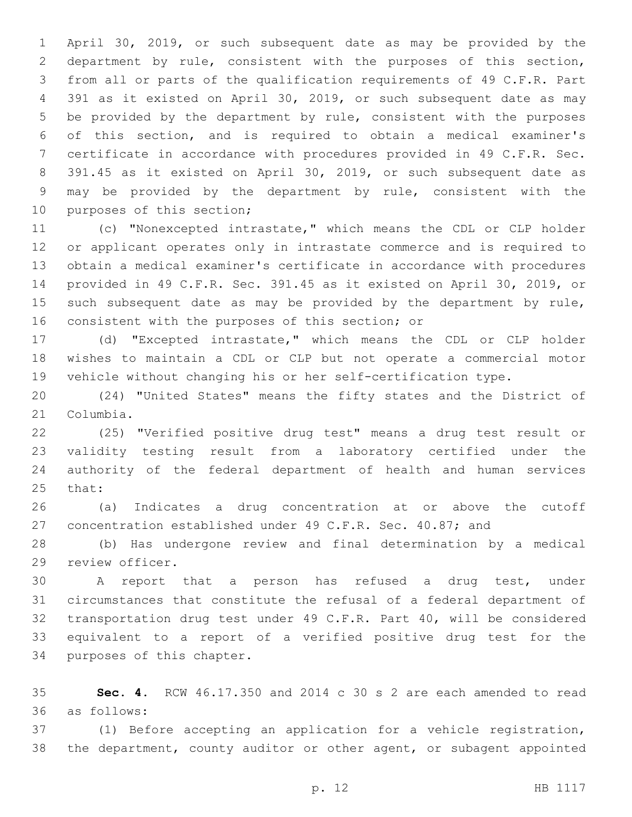April 30, 2019, or such subsequent date as may be provided by the department by rule, consistent with the purposes of this section, from all or parts of the qualification requirements of 49 C.F.R. Part 391 as it existed on April 30, 2019, or such subsequent date as may be provided by the department by rule, consistent with the purposes of this section, and is required to obtain a medical examiner's certificate in accordance with procedures provided in 49 C.F.R. Sec. 391.45 as it existed on April 30, 2019, or such subsequent date as may be provided by the department by rule, consistent with the 10 purposes of this section;

 (c) "Nonexcepted intrastate," which means the CDL or CLP holder or applicant operates only in intrastate commerce and is required to obtain a medical examiner's certificate in accordance with procedures provided in 49 C.F.R. Sec. 391.45 as it existed on April 30, 2019, or 15 such subsequent date as may be provided by the department by rule, 16 consistent with the purposes of this section; or

 (d) "Excepted intrastate," which means the CDL or CLP holder wishes to maintain a CDL or CLP but not operate a commercial motor vehicle without changing his or her self-certification type.

 (24) "United States" means the fifty states and the District of 21 Columbia.

 (25) "Verified positive drug test" means a drug test result or validity testing result from a laboratory certified under the authority of the federal department of health and human services 25 that:

 (a) Indicates a drug concentration at or above the cutoff concentration established under 49 C.F.R. Sec. 40.87; and

 (b) Has undergone review and final determination by a medical 29 review officer.

 A report that a person has refused a drug test, under circumstances that constitute the refusal of a federal department of transportation drug test under 49 C.F.R. Part 40, will be considered equivalent to a report of a verified positive drug test for the 34 purposes of this chapter.

 **Sec. 4.** RCW 46.17.350 and 2014 c 30 s 2 are each amended to read as follows:36

 (1) Before accepting an application for a vehicle registration, the department, county auditor or other agent, or subagent appointed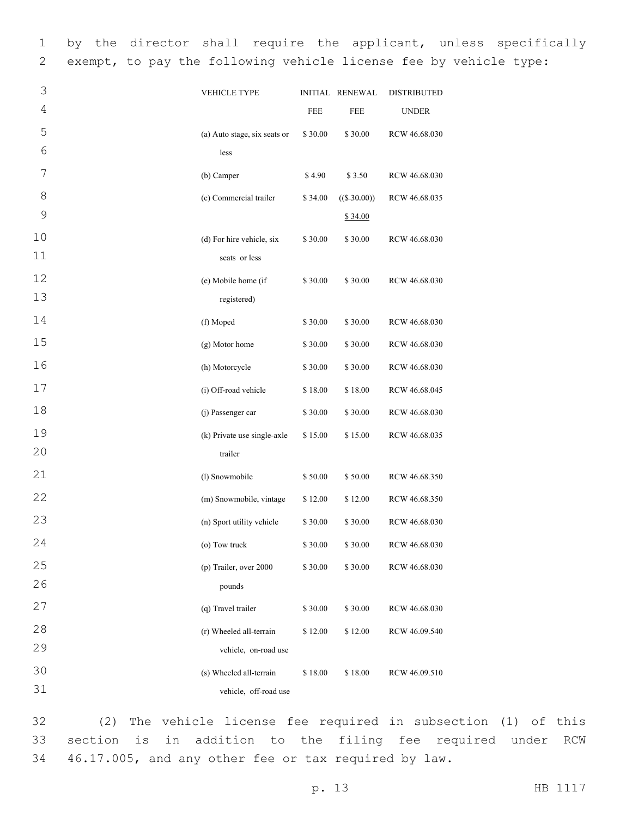1 by the director shall require the applicant, unless specifically 2 exempt, to pay the following vehicle license fee by vehicle type:

| 3            | <b>VEHICLE TYPE</b>          |         | <b>INITIAL RENEWAL</b> | <b>DISTRIBUTED</b> |
|--------------|------------------------------|---------|------------------------|--------------------|
| 4            |                              | FEE     | FEE                    | <b>UNDER</b>       |
| 5            | (a) Auto stage, six seats or | \$30.00 | \$30.00                | RCW 46.68.030      |
| 6            | less                         |         |                        |                    |
| 7            | (b) Camper                   | \$4.90  | \$3.50                 | RCW 46.68.030      |
| 8            | (c) Commercial trailer       | \$34.00 | $((\$ 30.00))$         | RCW 46.68.035      |
| $\mathsf{O}$ |                              |         | \$34.00                |                    |
| 10           | (d) For hire vehicle, six    | \$30.00 | \$30.00                | RCW 46.68.030      |
| 11           | seats or less                |         |                        |                    |
| 12           | (e) Mobile home (if          | \$30.00 | \$30.00                | RCW 46.68.030      |
| 13           | registered)                  |         |                        |                    |
| 14           | (f) Moped                    | \$30.00 | \$30.00                | RCW 46.68.030      |
| 15           | (g) Motor home               | \$30.00 | \$30.00                | RCW 46.68.030      |
| 16           | (h) Motorcycle               | \$30.00 | \$30.00                | RCW 46.68.030      |
| 17           | (i) Off-road vehicle         | \$18.00 | \$18.00                | RCW 46.68.045      |
| 18           | (j) Passenger car            | \$30.00 | \$30.00                | RCW 46.68.030      |
| 19           | (k) Private use single-axle  | \$15.00 | \$15.00                | RCW 46.68.035      |
| 20           | trailer                      |         |                        |                    |
| 21           | (l) Snowmobile               | \$50.00 | \$50.00                | RCW 46.68.350      |
| 22           | (m) Snowmobile, vintage      | \$12.00 | \$12.00                | RCW 46.68.350      |
| 23           | (n) Sport utility vehicle    | \$30.00 | \$30.00                | RCW 46.68.030      |
| 24           | (o) Tow truck                | \$30.00 | \$30.00                | RCW 46.68.030      |
| 25           | (p) Trailer, over 2000       | \$30.00 | \$30.00                | RCW 46.68.030      |
| 26           | pounds                       |         |                        |                    |
| 27           | (q) Travel trailer           | \$30.00 | \$30.00                | RCW 46.68.030      |
| 28           | (r) Wheeled all-terrain      | \$12.00 | \$12.00                | RCW 46.09.540      |
| 29           | vehicle, on-road use         |         |                        |                    |
| 30           | (s) Wheeled all-terrain      | \$18.00 | \$18.00                | RCW 46.09.510      |
| 31           | vehicle, off-road use        |         |                        |                    |

32 (2) The vehicle license fee required in subsection (1) of this 33 section is in addition to the filing fee required under RCW 34 46.17.005, and any other fee or tax required by law.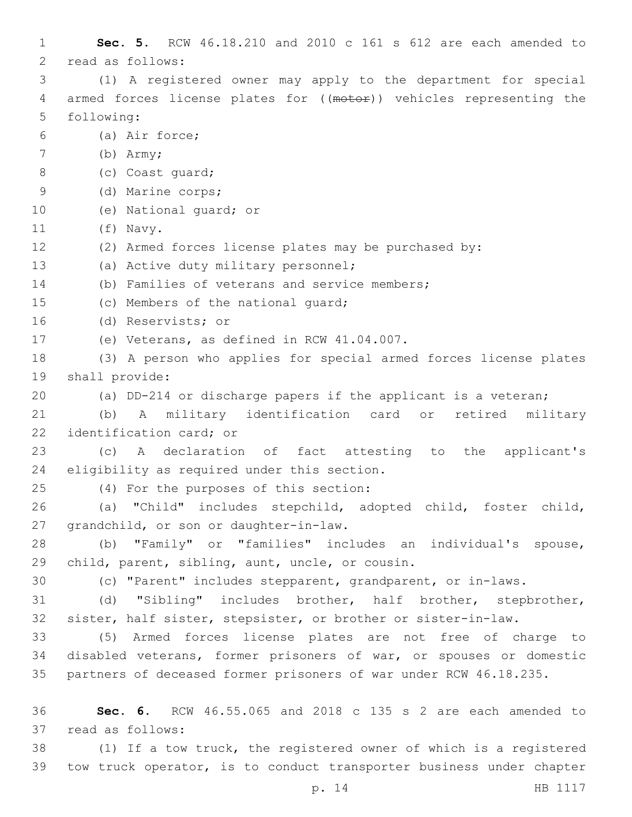| 1             | Sec. 5. RCW 46.18.210 and 2010 c 161 s 612 are each amended to       |
|---------------|----------------------------------------------------------------------|
| $\mathbf{2}$  | read as follows:                                                     |
| 3             | (1) A registered owner may apply to the department for special       |
| 4             | armed forces license plates for ((motor)) vehicles representing the  |
| 5             | following:                                                           |
| 6             | (a) Air force;                                                       |
| 7             | $(b)$ Army;                                                          |
| $8\,$         | (c) Coast quard;                                                     |
| $\mathcal{G}$ | (d) Marine corps;                                                    |
| 10            | (e) National quard; or                                               |
| 11            | (f) Navy.                                                            |
| 12            | (2) Armed forces license plates may be purchased by:                 |
| 13            | (a) Active duty military personnel;                                  |
| 14            | (b) Families of veterans and service members;                        |
| 15            | (c) Members of the national quard;                                   |
| 16            | (d) Reservists; or                                                   |
| 17            | (e) Veterans, as defined in RCW 41.04.007.                           |
| 18            | (3) A person who applies for special armed forces license plates     |
| 19            | shall provide:                                                       |
| 20            | (a) DD-214 or discharge papers if the applicant is a veteran;        |
| 21            | A military identification card or<br>(b)<br>retired<br>military      |
| 22            | identification card; or                                              |
| 23            | A declaration of fact attesting to the applicant's<br>(C)            |
| 24            | eligibility as required under this section.                          |
| 25            | (4) For the purposes of this section:                                |
| 26            | (a) "Child" includes stepchild, adopted child, foster child,         |
| 27            | grandchild, or son or daughter-in-law.                               |
| 28            | (b) "Family" or "families" includes an individual's spouse,          |
| 29            | child, parent, sibling, aunt, uncle, or cousin.                      |
| 30            | (c) "Parent" includes stepparent, grandparent, or in-laws.           |
| 31            | "Sibling" includes brother, half brother, stepbrother,<br>(d)        |
| 32            | sister, half sister, stepsister, or brother or sister-in-law.        |
| 33            | (5) Armed forces license plates are not free of charge to            |
| 34            | disabled veterans, former prisoners of war, or spouses or domestic   |
| 35            | partners of deceased former prisoners of war under RCW 46.18.235.    |
|               |                                                                      |
| 36            | Sec. 6. RCW 46.55.065 and 2018 c 135 s 2 are each amended to         |
| 37            | read as follows:                                                     |
| 38            | (1) If a tow truck, the registered owner of which is a registered    |
| 39            | tow truck operator, is to conduct transporter business under chapter |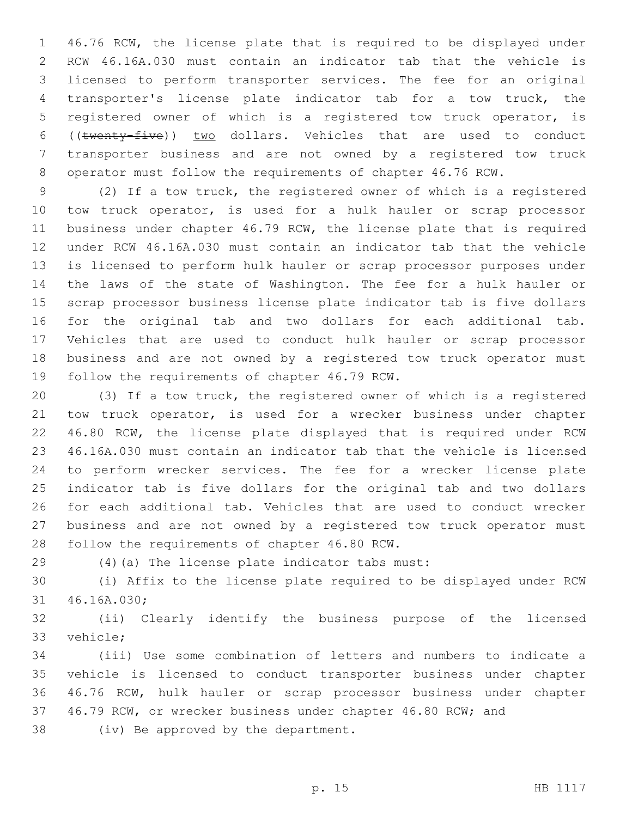46.76 RCW, the license plate that is required to be displayed under RCW 46.16A.030 must contain an indicator tab that the vehicle is licensed to perform transporter services. The fee for an original transporter's license plate indicator tab for a tow truck, the registered owner of which is a registered tow truck operator, is ((twenty-five)) two dollars. Vehicles that are used to conduct transporter business and are not owned by a registered tow truck operator must follow the requirements of chapter 46.76 RCW.

 (2) If a tow truck, the registered owner of which is a registered tow truck operator, is used for a hulk hauler or scrap processor business under chapter 46.79 RCW, the license plate that is required under RCW 46.16A.030 must contain an indicator tab that the vehicle is licensed to perform hulk hauler or scrap processor purposes under the laws of the state of Washington. The fee for a hulk hauler or scrap processor business license plate indicator tab is five dollars for the original tab and two dollars for each additional tab. Vehicles that are used to conduct hulk hauler or scrap processor business and are not owned by a registered tow truck operator must 19 follow the requirements of chapter 46.79 RCW.

 (3) If a tow truck, the registered owner of which is a registered tow truck operator, is used for a wrecker business under chapter 46.80 RCW, the license plate displayed that is required under RCW 46.16A.030 must contain an indicator tab that the vehicle is licensed to perform wrecker services. The fee for a wrecker license plate indicator tab is five dollars for the original tab and two dollars for each additional tab. Vehicles that are used to conduct wrecker business and are not owned by a registered tow truck operator must 28 follow the requirements of chapter 46.80 RCW.

(4)(a) The license plate indicator tabs must:29

 (i) Affix to the license plate required to be displayed under RCW 31 46.16A.030;

 (ii) Clearly identify the business purpose of the licensed 33 vehicle:

 (iii) Use some combination of letters and numbers to indicate a vehicle is licensed to conduct transporter business under chapter 46.76 RCW, hulk hauler or scrap processor business under chapter 46.79 RCW, or wrecker business under chapter 46.80 RCW; and

38 (iv) Be approved by the department.